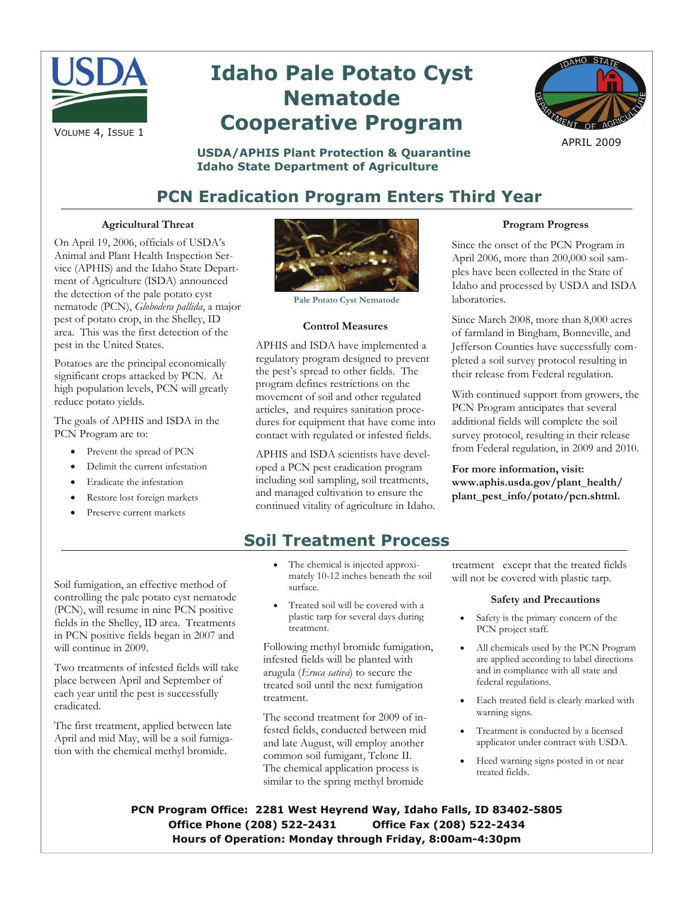

# **Idaho Pale Potato Cyst Nematode Cooperative Program**



APRIL 2009

#### **USDA/APHIS Plant Protection & Quarantine Idaho State Department of Agriculture**

# **PCN Eradication Program Enters Third Year**

#### **Agricultural Threat**

On April 19, 2006, officials of USDA's Animal and Plant Health Inspection Service (APHIS) and the Idaho State Department of Agriculture (ISDA) announced the detection of the pale potato cyst nematode (PCN), *Globodera pallida*, a major pest of potato crop, in the Shelley, ID area. This was the first detection of the pest in the United States.

Potatoes are the principal economically significant crops attacked by PCN. At high population levels, PCN will greatly reduce potato yields.

The goals of APHIS and ISDA in the PCN Program are to:

- Prevent the spread of PCN
- Delimit the current infestation
- Eradicate the infestation
- Restore lost foreign markets
- Preserve current markets

Soil fumigation, an effective method of controlling the pale potato cyst nematode (PCN), will resume in nine PCN positive fields in the Shelley, ID area. Treatments in PCN positive fields began in 2007 and

Two treatments of infested fields will take place between April and September of each year until the pest is successfully

The first treatment, applied between late April and mid May, will be a soil fumigation with the chemical methyl bromide.

will continue in 2009.

eradicated.



**Pale Potato Cyst Nematode** 

#### **Control Measures**

APHIS and ISDA have implemented a regulatory program designed to prevent the pest's spread to other fields. The program defines restrictions on the movement of soil and other regulated articles, and requires sanitation procedures for equipment that have come into contact with regulated or infested fields.

APHIS and ISDA scientists have developed a PCN pest eradication program including soil sampling, soil treatments, and managed cultivation to ensure the continued vitality of agriculture in Idaho.

## **Soil Treatment Process**

- The chemical is injected approximately 10-12 inches beneath the soil surface.
- Treated soil will be covered with a plastic tarp for several days during treatment.

Following methyl bromide fumigation, infested fields will be planted with arugula (*Eruca sativa*) to secure the treated soil until the next fumigation treatment.

The second treatment for 2009 of infested fields, conducted between mid and late August, will employ another common soil fumigant, Telone II. The chemical application process is similar to the spring methyl bromide

treatment except that the treated fields will not be covered with plastic tarp.

#### **Safety and Precautions**

- Safety is the primary concern of the PCN project staff.
- All chemicals used by the PCN Program are applied according to label directions and in compliance with all state and federal regulations.
- Each treated field is clearly marked with warning signs.
- Treatment is conducted by a licensed applicator under contract with USDA.
- Heed warning signs posted in or near treated fields.

**PCN Program Office: 2281 West Heyrend Way, Idaho Falls, ID 83402-5805 Office Phone (208) 522-2431 Office Fax (208) 522-2434 Hours of Operation: Monday through Friday, 8:00am-4:30pm** 

#### **Program Progress**

Since the onset of the PCN Program in April 2006, more than 200,000 soil samples have been collected in the State of Idaho and processed by USDA and ISDA laboratories.

Since March 2008, more than 8,000 acres of farmland in Bingham, Bonneville, and Jefferson Counties have successfully completed a soil survey protocol resulting in their release from Federal regulation.

With continued support from growers, the PCN Program anticipates that several additional fields will complete the soil survey protocol, resulting in their release from Federal regulation, in 2009 and 2010.

**For more information, visit: www.aphis.usda.gov/plant\_health/ plant\_pest\_info/potato/pcn.shtml.**